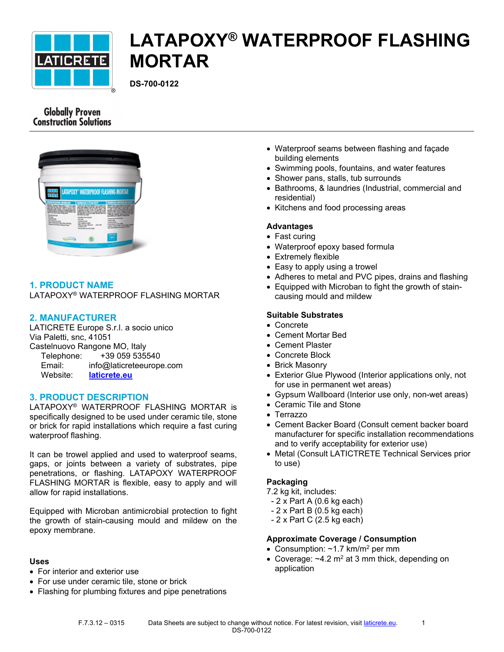

# **LATAPOXY® WATERPROOF FLASHING MORTAR**

**DS-700-0122**

# **Globally Proven Construction Solutions**



# **1. PRODUCT NAME**

LATAPOXY® WATERPROOF FLASHING MORTAR

# **2. MANUFACTURER**

LATICRETE Europe S.r.l. a socio unico Via Paletti, snc, 41051 Castelnuovo Rangone MO, Italy Telephone: +39 059 535540 Email: info@laticreteeurope.com Website: **[laticrete.eu](http://www.laticrete.eu/)**

# **3. PRODUCT DESCRIPTION**

LATAPOXY® WATERPROOF FLASHING MORTAR is specifically designed to be used under ceramic tile, stone or brick for rapid installations which require a fast curing waterproof flashing.

It can be trowel applied and used to waterproof seams, gaps, or joints between a variety of substrates, pipe penetrations, or flashing. LATAPOXY WATERPROOF FLASHING MORTAR is flexible, easy to apply and will allow for rapid installations.

Equipped with Microban antimicrobial protection to fight the growth of stain-causing mould and mildew on the epoxy membrane.

#### **Uses**

- For interior and exterior use
- For use under ceramic tile, stone or brick
- Flashing for plumbing fixtures and pipe penetrations
- Waterproof seams between flashing and façade building elements
- Swimming pools, fountains, and water features
- Shower pans, stalls, tub surrounds
- Bathrooms, & laundries (Industrial, commercial and residential)
- Kitchens and food processing areas

#### **Advantages**

- Fast curing
- Waterproof epoxy based formula
- Extremely flexible
- Easy to apply using a trowel
- Adheres to metal and PVC pipes, drains and flashing
- Equipped with [Microban](file:///C:/inetpub/wwwroot/LATICRETEAUTHORING/Website/ui/data/DatasheetTemplates/~/link.aspx%3F_id=51CD5EB9524E4D11B3C80A86838BD90D&_z=z) to fight the growth of staincausing mould and mildew

#### **Suitable Substrates**

- Concrete
- Cement Mortar Bed
- Cement Plaster
- Concrete Block
- Brick Masonry
- Exterior Glue Plywood (Interior applications only, not for use in permanent wet areas)
- Gypsum Wallboard (Interior use only, non-wet areas)
- Ceramic Tile and Stone
- Terrazzo
- Cement Backer Board (Consult cement backer board manufacturer for specific installation recommendations and to verify acceptability for exterior use)
- Metal (Consult LATICTRETE Technical Services prior to use)

#### **Packaging**

- 7.2 kg kit, includes:
- 2 x Part A (0.6 kg each)
- 2 x Part B (0.5 kg each)
- 2 x Part C (2.5 kg each)

#### **Approximate Coverage / Consumption**

- Consumption:  $~1.7$  km/m<sup>2</sup> per mm
- Coverage:  $~1$ 2 m<sup>2</sup> at 3 mm thick, depending on application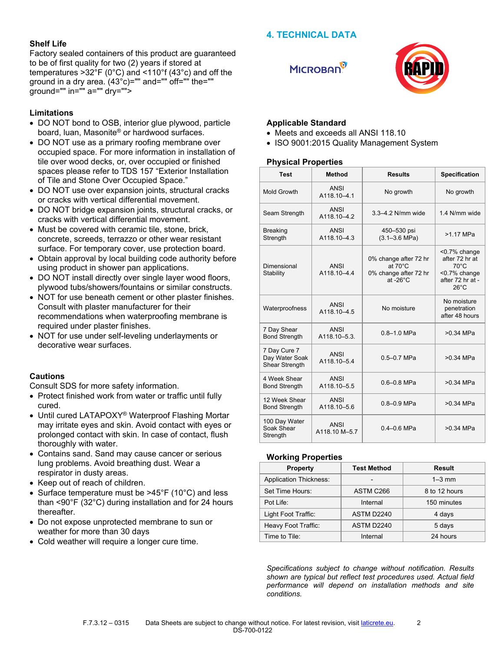## **4. TECHNICAL DATA**

#### **Shelf Life**

Factory sealed containers of this product are guaranteed to be of first quality for two (2) years if stored at temperatures >32°F (0°C) and <110°f (43°c) and off the ground in a dry area.  $(43^{\circ}c)$ ="" and="" off="" the="" ground="" in="" a="" dry="">

#### **Limitations**

- DO NOT bond to OSB, interior glue plywood, particle board, luan, Masonite® or hardwood surfaces.
- DO NOT use as a primary roofing membrane over occupied space. For more information in installation of tile over wood decks, or, over occupied or finished spaces please refer to [TDS 157 "Exterior Installation](file:///C:/inetpub/wwwroot/LATICRETEAUTHORING/Website/ui/data/DatasheetTemplates/~/link.aspx%3F_id=2B765E03C6E440C38BE88A8656AF9A4A&_z=z)  [of Tile and Stone Over Occupied Space."](file:///C:/inetpub/wwwroot/LATICRETEAUTHORING/Website/ui/data/DatasheetTemplates/~/link.aspx%3F_id=2B765E03C6E440C38BE88A8656AF9A4A&_z=z)
- DO NOT use over expansion joints, structural cracks or cracks with vertical differential movement.
- DO NOT bridge expansion joints, structural cracks, or cracks with vertical differential movement.
- Must be covered with ceramic tile, stone, brick, concrete, screeds, terrazzo or other wear resistant surface. For temporary cover, use protection board.
- Obtain approval by local building code authority before using product in shower pan applications.
- DO NOT install directly over single layer wood floors, plywood tubs/showers/fountains or similar constructs.
- NOT for use beneath cement or other plaster finishes. Consult with plaster manufacturer for their recommendations when waterproofing membrane is required under plaster finishes.
- NOT for use under self-leveling underlayments or decorative wear surfaces.

#### **Cautions**

Consult SDS for more safety information.

- Protect finished work from water or traffic until fully cured.
- Until cured LATAPOXY® Waterproof Flashing Mortar may irritate eyes and skin. Avoid contact with eyes or prolonged contact with skin. In case of contact, flush thoroughly with water.
- Contains sand. Sand may cause cancer or serious lung problems. Avoid breathing dust. Wear a respirator in dusty areas.
- Keep out of reach of children.
- Surface temperature must be >45°F (10°C) and less than <90°F (32°C) during installation and for 24 hours thereafter.
- Do not expose unprotected membrane to sun or weather for more than 30 days
- Cold weather will require a longer cure time.





#### **Applicable Standard**

- Meets and exceeds all ANSI 118.10
- ISO 9001:2015 Quality Management System

#### **Physical Properties**

| <b>Test</b>                                             | Method                       | <b>Results</b>                                                                            | <b>Specification</b>                                                                                   |
|---------------------------------------------------------|------------------------------|-------------------------------------------------------------------------------------------|--------------------------------------------------------------------------------------------------------|
| Mold Growth                                             | <b>ANSI</b><br>A118.10-4.1   | No growth                                                                                 | No growth                                                                                              |
| Seam Strength                                           | <b>ANSI</b><br>A118.10-4.2   | 3.3-4.2 N/mm wide                                                                         | 1.4 N/mm wide                                                                                          |
| Breaking<br>Strength                                    | ANSI<br>A118.10-4.3          | 450-530 psi<br>$(3.1 - 3.6 \text{ MPa})$                                                  | $>1.17$ MPa                                                                                            |
| Dimensional<br>Stability                                | <b>ANSI</b><br>A118.10-4.4   | 0% change after 72 hr<br>at $70^{\circ}$ C<br>0% change after 72 hr<br>at $-26^{\circ}$ C | <0.7% change<br>after 72 hr at<br>$70^{\circ}$ C<br><0.7% change<br>after 72 hr at -<br>$26^{\circ}$ C |
| Waterproofness                                          | <b>ANSI</b><br>A118.10-4.5   | No moisture                                                                               | No moisture<br>penetration<br>after 48 hours                                                           |
| 7 Day Shear<br><b>Bond Strength</b>                     | <b>ANSI</b><br>A118.10-5.3.  | $0.8 - 1.0$ MPa                                                                           | $>0.34$ MPa                                                                                            |
| 7 Day Cure 7<br>Day Water Soak<br><b>Shear Strength</b> | ANSI<br>A118.10-5.4          | $0.5 - 0.7$ MPa                                                                           | $>0.34$ MPa                                                                                            |
| 4 Week Shear<br><b>Bond Strength</b>                    | <b>ANSI</b><br>A118.10-5.5   | $0.6 - 0.8$ MPa                                                                           | $>0.34$ MPa                                                                                            |
| 12 Week Shear<br><b>Bond Strength</b>                   | ANSI<br>A118.10-5.6          | $0.8 - 0.9$ MPa                                                                           | $>0.34$ MPa                                                                                            |
| 100 Day Water<br>Soak Shear<br>Strength                 | <b>ANSI</b><br>A118.10 M-5.7 | $0.4 - 0.6$ MPa                                                                           | $>0.34$ MPa                                                                                            |

#### **Working Properties**

| <b>Property</b>               | <b>Test Method</b> | Result        |
|-------------------------------|--------------------|---------------|
| <b>Application Thickness:</b> | $\blacksquare$     | $1-3$ mm      |
| Set Time Hours:               | ASTM C266          | 8 to 12 hours |
| Pot Life:                     | Internal           | 150 minutes   |
| Light Foot Traffic:           | ASTM D2240         | 4 days        |
| Heavy Foot Traffic:           | ASTM D2240         | 5 days        |
| Time to Tile:                 | Internal           | 24 hours      |

*Specifications subject to change without notification. Results shown are typical but reflect test procedures used. Actual field performance will depend on installation methods and site conditions.*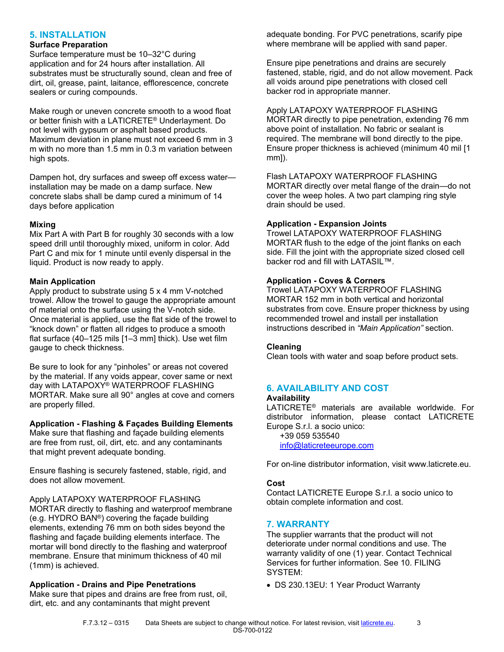# **5. INSTALLATION**

# **Surface Preparation**

Surface temperature must be 10–32°C during application and for 24 hours after installation. All substrates must be structurally sound, clean and free of dirt, oil, grease, paint, laitance, efflorescence, concrete sealers or curing compounds.

Make rough or uneven concrete smooth to a wood float or better finish with a LATICRETE® Underlayment. Do not level with gypsum or asphalt based products. Maximum deviation in plane must not exceed 6 mm in 3 m with no more than 1.5 mm in 0.3 m variation between high spots.

Dampen hot, dry surfaces and sweep off excess water installation may be made on a damp surface. New concrete slabs shall be damp cured a minimum of 14 days before application

#### **Mixing**

Mix Part A with Part B for roughly 30 seconds with a low speed drill until thoroughly mixed, uniform in color. Add Part C and mix for 1 minute until evenly dispersal in the liquid. Product is now ready to apply.

#### **Main Application**

Apply product to substrate using 5 x 4 mm V-notched trowel. Allow the trowel to gauge the appropriate amount of material onto the surface using the V-notch side. Once material is applied, use the flat side of the trowel to "knock down" or flatten all ridges to produce a smooth flat surface (40–125 mils [1–3 mm] thick). Use wet film gauge to check thickness.

Be sure to look for any "pinholes" or areas not covered by the material. If any voids appear, cover same or next day with LATAPOXY® WATERPROOF FLASHING MORTAR. Make sure all 90° angles at cove and corners are properly filled.

#### **Application - Flashing & Façades Building Elements**

Make sure that flashing and façade building elements are free from rust, oil, dirt, etc. and any contaminants that might prevent adequate bonding.

Ensure flashing is securely fastened, stable, rigid, and does not allow movement.

Apply LATAPOXY WATERPROOF FLASHING MORTAR directly to flashing and waterproof membrane (e.g. HYDRO BAN®) covering the façade building elements, extending 76 mm on both sides beyond the flashing and façade building elements interface. The mortar will bond directly to the flashing and waterproof membrane. Ensure that minimum thickness of 40 mil (1mm) is achieved.

#### **Application - Drains and Pipe Penetrations**

Make sure that pipes and drains are free from rust, oil, dirt, etc. and any contaminants that might prevent

adequate bonding. For PVC penetrations, scarify pipe where membrane will be applied with sand paper.

Ensure pipe penetrations and drains are securely fastened, stable, rigid, and do not allow movement. Pack all voids around pipe penetrations with closed cell backer rod in appropriate manner.

Apply LATAPOXY WATERPROOF FLASHING MORTAR directly to pipe penetration, extending 76 mm above point of installation. No fabric or sealant is required. The membrane will bond directly to the pipe. Ensure proper thickness is achieved (minimum 40 mil [1

#### Flash LATAPOXY WATERPROOF FLASHING

MORTAR directly over metal flange of the drain—do not cover the weep holes. A two part clamping ring style drain should be used.

#### **Application - Expansion Joints**

Trowel LATAPOXY WATERPROOF FLASHING MORTAR flush to the edge of the joint flanks on each side. Fill the joint with the appropriate sized closed cell backer rod and fill with LATASIL™.

#### **Application - Coves & Corners**

Trowel LATAPOXY WATERPROOF FLASHING MORTAR 152 mm in both vertical and horizontal substrates from cove. Ensure proper thickness by using recommended trowel and install per installation instructions described in *"Main Application"* section.

#### **Cleaning**

mm]).

Clean tools with water and soap before product sets.

# **6. AVAILABILITY AND COST**

#### **Availability**

LATICRETE® materials are available worldwide. For distributor information, please contact LATICRETE Europe S.r.l. a socio unico:

 +39 059 535540 [info@laticreteeurope.com](mailto:info@laticreteeurope.com)

For on-line distributor information, visit www.laticrete.eu.

#### **Cost**

Contact LATICRETE Europe S.r.l. a socio unico to obtain complete information and cost.

#### **7. WARRANTY**

The supplier warrants that the product will not deteriorate under normal conditions and use. The warranty validity of one (1) year. Contact Technical Services for further information. See 10. FILING SYSTEM:

• DS 230.13EU: 1 Year Product Warranty